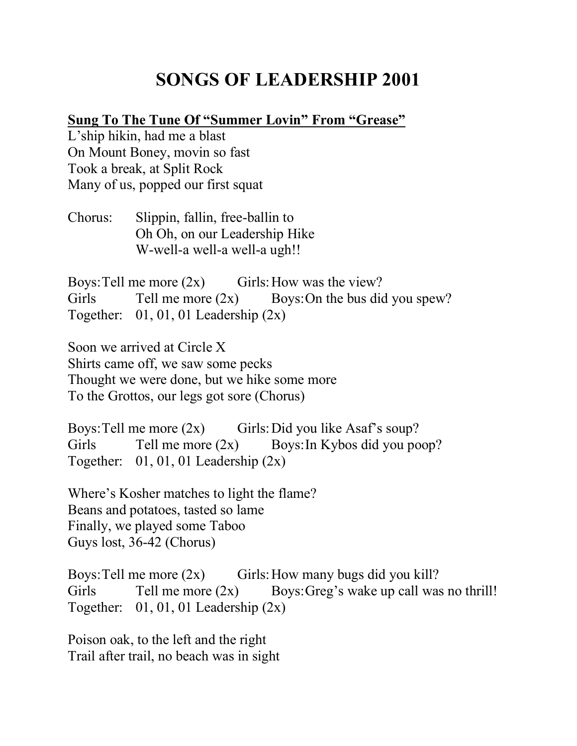# **SONGS OF LEADERSHIP 2001**

# **Sung To The Tune Of "Summer Lovin" From "Grease"**

L'ship hikin, had me a blast On Mount Boney, movin so fast Took a break, at Split Rock Many of us, popped our first squat

Chorus: Slippin, fallin, free-ballin to Oh Oh, on our Leadership Hike W-well-a well-a well-a ugh!!

Boys: Tell me more  $(2x)$  Girls: How was the view? Girls Tell me more  $(2x)$  Boys: On the bus did you spew? Together:  $01, 01, 01$  Leadership  $(2x)$ 

Soon we arrived at Circle X Shirts came off, we saw some pecks Thought we were done, but we hike some more To the Grottos, our legs got sore (Chorus)

Boys: Tell me more  $(2x)$  Girls: Did you like Asaf's soup? Girls Tell me more  $(2x)$  Boys: In Kybos did you poop? Together:  $01, 01, 01$  Leadership  $(2x)$ 

Where's Kosher matches to light the flame? Beans and potatoes, tasted so lame Finally, we played some Taboo Guys lost, 36-42 (Chorus)

Boys: Tell me more  $(2x)$  Girls: How many bugs did you kill? Girls Tell me more  $(2x)$  Boys: Greg's wake up call was no thrill! Together:  $01, 01, 01$  Leadership  $(2x)$ 

Poison oak, to the left and the right Trail after trail, no beach was in sight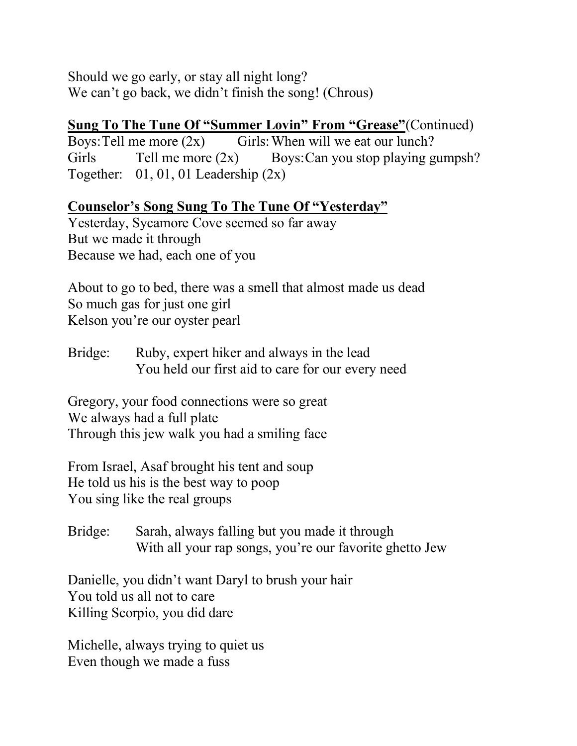Should we go early, or stay all night long? We can't go back, we didn't finish the song! (Chrous)

### **Sung To The Tune Of "Summer Lovin" From "Grease"**(Continued)

Boys: Tell me more  $(2x)$  Girls: When will we eat our lunch? Girls Tell me more  $(2x)$  Boys: Can you stop playing gumpsh? Together:  $01, 01, 01$  Leadership  $(2x)$ 

**Counselor's Song Sung To The Tune Of "Yesterday"**

Yesterday, Sycamore Cove seemed so far away But we made it through Because we had, each one of you

About to go to bed, there was a smell that almost made us dead So much gas for just one girl Kelson you're our oyster pearl

Bridge: Ruby, expert hiker and always in the lead You held our first aid to care for our every need

Gregory, your food connections were so great We always had a full plate Through this jew walk you had a smiling face

From Israel, Asaf brought his tent and soup He told us his is the best way to poop You sing like the real groups

Bridge: Sarah, always falling but you made it through With all your rap songs, you're our favorite ghetto Jew

Danielle, you didn't want Daryl to brush your hair You told us all not to care Killing Scorpio, you did dare

Michelle, always trying to quiet us Even though we made a fuss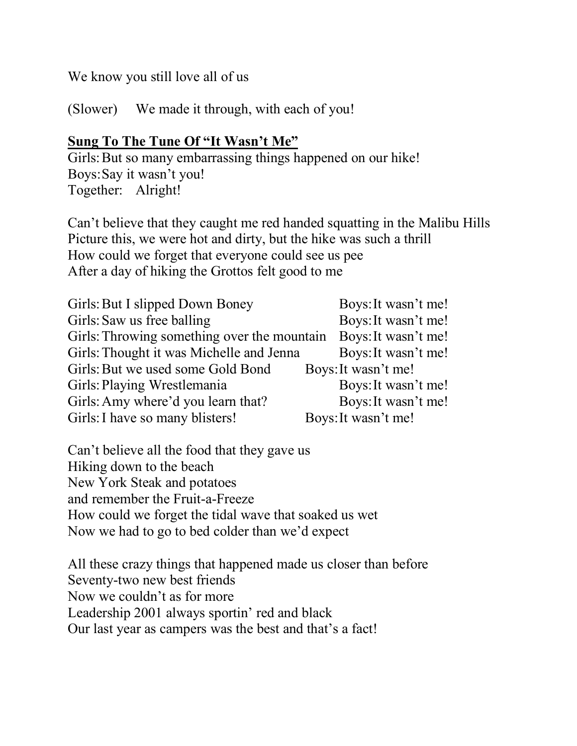We know you still love all of us

(Slower) We made it through, with each of you!

## **Sung To The Tune Of "It Wasn't Me"**

Girls: But so many embarrassing things happened on our hike! Boys:Say it wasn't you! Together: Alright!

Can't believe that they caught me red handed squatting in the Malibu Hills Picture this, we were hot and dirty, but the hike was such a thrill How could we forget that everyone could see us pee After a day of hiking the Grottos felt good to me

| Girls: But I slipped Down Boney             | Boys: It wasn't me! |
|---------------------------------------------|---------------------|
| Girls: Saw us free balling                  | Boys: It wasn't me! |
| Girls: Throwing something over the mountain | Boys: It wasn't me! |
| Girls: Thought it was Michelle and Jenna    | Boys: It wasn't me! |
| Girls: But we used some Gold Bond           | Boys: It wasn't me! |
| Girls: Playing Wrestlemania                 | Boys: It wasn't me! |
| Girls: Amy where'd you learn that?          | Boys: It wasn't me! |
| Girls: I have so many blisters!             | Boys: It wasn't me! |

Can't believe all the food that they gave us Hiking down to the beach New York Steak and potatoes and remember the Fruit-a-Freeze How could we forget the tidal wave that soaked us wet Now we had to go to bed colder than we'd expect

All these crazy things that happened made us closer than before Seventy-two new best friends Now we couldn't as for more Leadership 2001 always sportin' red and black Our last year as campers was the best and that's a fact!